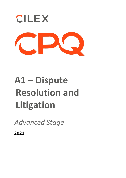

## **A1 – Dispute Resolution and Litigation**

*Advanced Stage* 

**2021**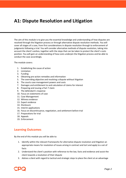## **A1: Dispute Resolution and Litigation**

The aim of this module is to give you the essential knowledge and understanding of how disputes are resolved through the litigation process or through alternative dispute resolution methods. You will cover all stages of a case, from first considerations in dispute resolution through to enforcement of judgments following a trial. You will consider alternative methods of dispute resolution, taking into account the client's wishes, together with the steps that can be taken to protect the client's costs position. You will gain an understanding of how costs underpin the litigation process and be able to conduct the case accordingly.

The module covers:

- 1. Establishing the cause of action
- 2. Limitation
- 3. Funding
- 4. Obtaining pre-action remedies and information
- 5. The overriding objective and resolving a dispute without litigation
- 6. The courts case management powers and costs
- 7. Damages and entitlement to and calculation of claims for interest
- 8. Preparing and issuing a Part 7 claim
- 9. The defendant's response
- 10. Focus on statements of case
- 11. Case Management
- 12. Witness evidence
- 13. Expert evidence
- 14. Disclosure
- 15. Interim applications
- 16. Focus on discontinuance, negotiation, and settlement before trial
- 17. Preparations for trial
- 18. Appeals
- 19. Enforcement

## **Learning Outcomes**

By the end of this module you will be able to:

- 1. Identify within the relevant frameworks for alternative dispute resolution and litigation an appropriate means for resolution of issues arising in contract and tort and apply to a set of facts
- 2. Understand the client's position with reference to the law, facts and evidence and assist the client towards a resolution of their dispute
- 3. Advise a client with regard to tactical and strategic steps to place the client at an advantage

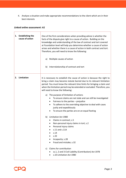4. Analyse a situation and make appropriate recommendations to the client which are in their best interests

## *Linked online assessment: A1*

| 1. Establishing the<br>cause of action | One of the first considerations when providing advice is whether the<br>facts of the dispute give right to a cause of action. Building on the<br>knowledge and understanding of the law of contract and tort covered<br>at Foundation level will help you determine whether a cause of action<br>arises and whether there is a cause of action in both contract and tort.<br>Therefore, you will need to know the following:<br>Multiple causes of action<br>a)                                                                                                                                                                                                                                                                                                                                                                                                   |
|----------------------------------------|-------------------------------------------------------------------------------------------------------------------------------------------------------------------------------------------------------------------------------------------------------------------------------------------------------------------------------------------------------------------------------------------------------------------------------------------------------------------------------------------------------------------------------------------------------------------------------------------------------------------------------------------------------------------------------------------------------------------------------------------------------------------------------------------------------------------------------------------------------------------|
|                                        | Interrelationship of contract and tort<br>b)                                                                                                                                                                                                                                                                                                                                                                                                                                                                                                                                                                                                                                                                                                                                                                                                                      |
| Limitation<br>2.                       | It is necessary to establish the cause of action is because the right to<br>bring a claim may become statute barred due to its relevant limitation<br>period. You must know the relevant time limits for bringing a claim and<br>when the limitation period may be extended or excluded. Therefore, you<br>will need to know the following:<br>The purpose of limitation of actions<br>a)<br>To ensure claims are not stale and can still be investigated<br>Fairness to the parties - prejudice<br>٠<br>To adhere to the overriding objective to deal with cases<br>٠<br>justly and expeditiously<br>To ensure the parties are on an equal footing<br>Limitation Act 1980<br>b)<br>Claims in contract; s.5<br>Non-personal injury claims in tort; s.2<br>Personal injury claims<br>s.11 and s.11A<br>s.14<br>s.33<br>Incapacity; s.28<br>Fraud and mistake; s.32 |
|                                        | Claims for contribution<br>c)<br>ss.1, 2 and 3 Civil Liability (Contribution) Act 1978<br>s.10 Limitation Act 1980                                                                                                                                                                                                                                                                                                                                                                                                                                                                                                                                                                                                                                                                                                                                                |

 $\overline{\phantom{0}}$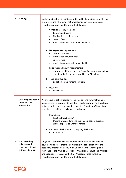| 3. Funding                                                                         | Understanding how a litigation matter will be funded is essential. This<br>may determine whether or not proceedings can be commenced.<br>Therefore, you will need to know the following:<br>a) Conditional fee agreements<br>Content and terms<br>Notification requirements<br>٠<br>Success fees<br>$\bullet$<br>Application and calculation of liabilities                                                    |
|------------------------------------------------------------------------------------|----------------------------------------------------------------------------------------------------------------------------------------------------------------------------------------------------------------------------------------------------------------------------------------------------------------------------------------------------------------------------------------------------------------|
|                                                                                    | b) Damages-based agreements<br>Content and terms<br>٠<br>Notification requirements<br>٠<br>Success fees<br>$\bullet$<br>Application and calculation of liabilities<br>$\bullet$                                                                                                                                                                                                                                |
|                                                                                    | c) Fixed fees and hourly rate retainers<br>Awareness of Portals for Low Value Personal Injury claims<br>e.g. Road Traffic Accidents and EL and PL claims                                                                                                                                                                                                                                                       |
|                                                                                    | Third party funding<br>d)<br>Litigation crowd funding solutions                                                                                                                                                                                                                                                                                                                                                |
|                                                                                    | e) Legal aid<br>Availability                                                                                                                                                                                                                                                                                                                                                                                   |
| <b>Obtaining pre-action</b><br>4.<br>remedies and<br>information                   | An effective litigation trainee will be able to consider whether a pre-<br>action remedy is appropriate and if so, how to apply for it. Therefore,<br>building further on the knowledge gained at Foundation Stage about<br>remedies, you will need to know the following:                                                                                                                                     |
|                                                                                    | Injunctions<br>a)                                                                                                                                                                                                                                                                                                                                                                                              |
|                                                                                    | <b>Practice Direction 25A</b><br>Outline of procedure; making an application; evidence;<br>urgent application without notice                                                                                                                                                                                                                                                                                   |
|                                                                                    | b) Pre-action disclosure and non-party disclosure:<br>Part 31.16                                                                                                                                                                                                                                                                                                                                               |
| 5.<br>The overriding<br>objective and<br>resolving a dispute<br>without litigation | Litigation is controlled by the court even before a claim has been<br>issued. This ensures that the parties give full consideration to the<br>possibility of settlement. You must understand the workings and<br>relevance of the Practice Direction - Pre-Action Conduct and Protocols<br>and specific protocols, and the Civil Procedure Rules generally.<br>Therefore, you will need to know the following: |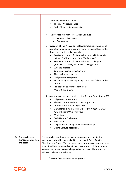|                                                          | The framework for litigation<br>a)<br>The Civil Procedure Rules<br>Part 1 The overriding objective<br>٠                                                                                                                                                                                                                                                                                                                                                                                                                                                                                                                                                                                                                                                               |
|----------------------------------------------------------|-----------------------------------------------------------------------------------------------------------------------------------------------------------------------------------------------------------------------------------------------------------------------------------------------------------------------------------------------------------------------------------------------------------------------------------------------------------------------------------------------------------------------------------------------------------------------------------------------------------------------------------------------------------------------------------------------------------------------------------------------------------------------|
|                                                          | The Practice Direction - Pre-Action Conduct<br>b)<br>When it is applicable<br>Requirements<br>٠                                                                                                                                                                                                                                                                                                                                                                                                                                                                                                                                                                                                                                                                       |
|                                                          | Overview of The Pre-Action Protocols including awareness of<br>C)<br>resolution of personal injury and money disputes through the<br>three stages of the online portals:<br>Pre-Action Protocol for Low Value Personal Injury Claims<br>$\bullet$<br>in Road Traffic Accidents ('the RTA Protocol'<br>Pre-Action Protocol for Low Value Personal Injury<br>٠<br>(Employers' Liability and Public Liability) Claims<br>When applicable<br>٠<br>Content of claim notification form<br>Time scales for response<br>٠<br>Obligations on response<br>٠<br>Reasons why a claim might begin and then fall out of the<br>٠<br>portal<br>Pre-action disclosure of documents<br>٠<br>Money Claim Online<br>٠<br>d) Awareness of methods of Alternative Dispute Resolution (ADR) |
|                                                          | Litigation as a last resort<br>٠<br>The aims of ADR and the court's approach<br>٠<br>Consideration and timing of ADR<br>٠<br>Unreasonable refusal to consider ADR; Halsey v Milton<br>Keynes General NHS Trust [2004]<br>Mediation<br><b>Early Neutral Evaluation</b><br>Arbitration                                                                                                                                                                                                                                                                                                                                                                                                                                                                                  |
|                                                          | Negotiation including round table meetings<br><b>Online Dispute Resolution</b>                                                                                                                                                                                                                                                                                                                                                                                                                                                                                                                                                                                                                                                                                        |
| The court's case<br>6.<br>management powers<br>and costs | The courts have wide case management powers and the right to<br>sanction a party which haas failed to comply with Rules, Practice<br>Directions and Orders. This can have costs consequences and you must<br>understand how, when and what costs may be ordered, how they are<br>assessed and how a party can be penalised in costs. Therefore, you<br>will need to know the following:<br>The court's case management powers<br>a)                                                                                                                                                                                                                                                                                                                                   |

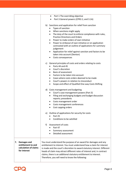|                                                                                  | Part 1 The overriding objective<br>$\bullet$                                                                                                                                                                                                                                                                                                                                                                             |
|----------------------------------------------------------------------------------|--------------------------------------------------------------------------------------------------------------------------------------------------------------------------------------------------------------------------------------------------------------------------------------------------------------------------------------------------------------------------------------------------------------------------|
|                                                                                  | Part 3 General powers (CPR3.1; and 3.1A)                                                                                                                                                                                                                                                                                                                                                                                 |
|                                                                                  | b) Sanctions and application for relief from sanction<br>Types of sanction<br>$\bullet$<br>When sanctions might apply<br>The duty of the court to enforce compliance with rules,<br>٠<br><b>Practice Directions and Orders</b>                                                                                                                                                                                           |
|                                                                                  | Power to make orders of own initiative<br>٠<br>Power to strikeout of own initiative or on application<br>٠<br>contrasted with an outline of applications for summary<br>judgement<br>Application for relief against sanction and factors to be<br>taken into account (Denton)<br>Costs consequences                                                                                                                      |
|                                                                                  | c) General principles of costs and orders relating to costs<br>Parts 44 and 45<br>$\bullet$<br>Court's discretion<br>$\bullet$<br><b>Basis of assessment</b><br>Factors to be taken into account<br>$\bullet$<br>Cases where costs orders deemed to be made<br>٠<br>Court's powers in relation to misconduct<br>٠<br>Scope and effect of Qualifed One-way Costs Shifting<br>$\bullet$                                    |
|                                                                                  | Costs management and budgeting<br>d)<br>Court's case management powers (Part 3)<br>Filing and exchanging budgets and budget discussion<br>$\bullet$<br>reports; precedents<br>Costs management order<br>Costs management conferences<br>Cost capping orders                                                                                                                                                              |
|                                                                                  | Outline of applications for security for costs<br>e)<br>Part 25<br>Conditions to be satisfied                                                                                                                                                                                                                                                                                                                            |
|                                                                                  | Assessment of costs<br>f)<br>Part 47<br>Summary assessment<br>Detailed assessment                                                                                                                                                                                                                                                                                                                                        |
| Damages and<br>7.<br>entitlement to and<br>calculation of claims<br>for interest | You must understand the purpose of an award for damages and any<br>entitlement to interest. You must understand how a claim for interest<br>is made and the court's discretion to award statutory interest. Different<br>heads of claim may attract different rates of interest and, in contract<br>claims, there is an additional statutory entitlement to interest.<br>Therefore, you will need to know the following: |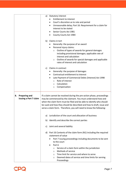|                                                      | Statutory interest<br>a)<br><b>Entitlement to interest</b><br>Court's discretion as to rate and period<br>Unreasonable delay; Part 16: Requirement for a claim for<br>$\bullet$<br>interest to be stated<br>Senior Courts Act 1981<br>County Courts Act 1984<br>Claims in tort<br>b)<br>Generally: the purpose of an award<br>Personal injury claims:<br>٠<br>Outline of types of awards for general damages<br>$\circ$<br>including provisional damages; applicable rate of<br>interest and calculation<br>Outline of awards for special damages and applicable<br>$\circ$<br>rates of interest and calculation<br>Claims in contract<br>c)<br>Generally: the purpose of damages<br>Contractual entitlement to interest<br>Late Payment of Commercial Debts (Interest) Act 1998<br>٠<br>Rate of interest<br>$\circ$<br>Calculation<br>$\circ$<br>Compensation<br>$\circ$ |
|------------------------------------------------------|---------------------------------------------------------------------------------------------------------------------------------------------------------------------------------------------------------------------------------------------------------------------------------------------------------------------------------------------------------------------------------------------------------------------------------------------------------------------------------------------------------------------------------------------------------------------------------------------------------------------------------------------------------------------------------------------------------------------------------------------------------------------------------------------------------------------------------------------------------------------------|
| <b>Preparing and</b><br>8.<br>issuing a Part 7 claim | If a claim cannot be resolved during the pre-action phase, proceedings<br>may be commenced by the claimant. You must understand how and<br>when the claim form must be filed and be able to identify who should<br>be sued and how they should be described and how to draft, issue and<br>serve a claim form. Therefore, you will need to know the following:                                                                                                                                                                                                                                                                                                                                                                                                                                                                                                            |
|                                                      | Jurisdiction of the court and allocation of business<br>a)                                                                                                                                                                                                                                                                                                                                                                                                                                                                                                                                                                                                                                                                                                                                                                                                                |
|                                                      | Identify and describe the correct parties<br>b)                                                                                                                                                                                                                                                                                                                                                                                                                                                                                                                                                                                                                                                                                                                                                                                                                           |
|                                                      | Joint and several liability<br>C)                                                                                                                                                                                                                                                                                                                                                                                                                                                                                                                                                                                                                                                                                                                                                                                                                                         |
|                                                      | Part 16 Contents of the claim form (N1) including the required<br>d)<br>statement of value<br>Part 7 issuing proceedings including documents to be sent<br>to the court<br>Part 6<br>Service of a claim form within the jurisdiction<br>$\circ$<br>Methods of service<br>$\circ$<br>Time limit for service and where to serve<br>$\circ$<br>Deemed dates of service and time limits for serving<br>$\circ$<br>Proceedings                                                                                                                                                                                                                                                                                                                                                                                                                                                 |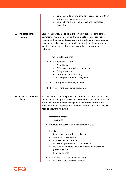|    |                                    | Service of a claim form outside the jurisdiction, with or<br>$\circ$<br>without the court's permission<br>Service by an alternative method and technology<br>$\circ$<br>permitted                                                                                                                                                                                     |
|----|------------------------------------|-----------------------------------------------------------------------------------------------------------------------------------------------------------------------------------------------------------------------------------------------------------------------------------------------------------------------------------------------------------------------|
| 9. | The defendant's<br>response        | Usually, the particulars of claim are served at the same time as the<br>claim form. You must understand when a defendant is required to<br>respond to the documents received and the defendant's options when<br>responding to the claim in addition to the time limits for response to<br>avoid default judgment. Therefore, you will need to know the<br>following: |
|    |                                    | Time limits for response<br>a)                                                                                                                                                                                                                                                                                                                                        |
|    |                                    | b) Part 9 Defendant's options:<br>Admissions<br>Filing an acknowledgment of service,<br>Filing a defence<br>Consequences of not filing<br>Request for default judgment<br>O                                                                                                                                                                                           |
|    |                                    | Part 12 requesting default judgment<br>C)                                                                                                                                                                                                                                                                                                                             |
|    |                                    | d) Part 13 setting aside default judgment                                                                                                                                                                                                                                                                                                                             |
|    | 10. Focus on statements<br>of case | You must understand the purpose of statements of case and what they<br>should contain along with the evidence required to enable the court to<br>decide on appropriate case management and track allocation. You<br>must know what is required in a statement of case. Therefore, you will<br>need to know the following:                                             |
|    |                                    | Statements of case<br>a)<br>Examples                                                                                                                                                                                                                                                                                                                                  |
|    |                                    | Structure and purpose of the statement of case<br>b)                                                                                                                                                                                                                                                                                                                  |
|    |                                    | Part 16<br>C)<br>Contents of the particulars of claim<br>Contents of the defence<br>Part 9 Defendant's options<br>The scope and import of admissions<br>$\circ$<br>Inclusion of counterclaims and other additional claims<br>(Parts 15 and 20)<br>Reply to defence                                                                                                    |
|    |                                    | Part 22 and PD 22 Statements of Truth<br>d)<br>Purpose of the statement of truth                                                                                                                                                                                                                                                                                      |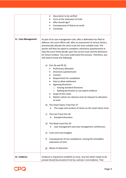| 11. Case Management | Documents to be verified<br>٠<br>Form of the statement of truth<br>Who should sign?<br>Consequences of failure to verify<br>Contempt<br>As part of its case management role, after a defendant has filed its<br>defence, the court officer will, after an assessment of various factors,<br>provisionally allocate the claim to be the most suitable track. The<br>parties will then be asked to complete a directions questionnaire to<br>help the court firmly decide upon the correct track and the directions<br>for future conduct. You must understand this process. Therefore, you<br>will need to know the following: |
|---------------------|-------------------------------------------------------------------------------------------------------------------------------------------------------------------------------------------------------------------------------------------------------------------------------------------------------------------------------------------------------------------------------------------------------------------------------------------------------------------------------------------------------------------------------------------------------------------------------------------------------------------------------|
|                     | a) Part 26 and PD 26<br>Preliminary allocation<br>Directions questionnaire<br>Content<br>$\bullet$<br>Requirement for completion<br>Stay to allow settlement<br>Agreeing directions<br>Varying standard directions<br>O<br>Seeking permission to use expert evidence<br>O<br>Scope of the tracks<br>Matters which are relevant and not relevant to allocation<br>to track                                                                                                                                                                                                                                                     |
|                     | b) The Small Claims Track Part 27<br>The scope and conduct of claims on the small claims track                                                                                                                                                                                                                                                                                                                                                                                                                                                                                                                                |
|                     | The Fast-Track Part 28<br>C)<br><b>Standard directions</b>                                                                                                                                                                                                                                                                                                                                                                                                                                                                                                                                                                    |
|                     | d) The Multi-track Part 29<br>case management and case management conferences                                                                                                                                                                                                                                                                                                                                                                                                                                                                                                                                                 |
|                     | Costs and costs budgets<br>e)                                                                                                                                                                                                                                                                                                                                                                                                                                                                                                                                                                                                 |
|                     | f<br>Consequences of non-compliance; varying the timetables;<br>extensions of time                                                                                                                                                                                                                                                                                                                                                                                                                                                                                                                                            |
|                     | Notice of allocation<br>g)                                                                                                                                                                                                                                                                                                                                                                                                                                                                                                                                                                                                    |
| 12. Evidence        | Evidence is required to establish an issue. Any fact which needs to be<br>proved should be proved at trial by a witness' oral evidence. That                                                                                                                                                                                                                                                                                                                                                                                                                                                                                  |

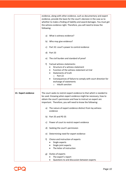|                     | evidence, along with other evidence, such as documentary and expert<br>evidence, provide the basis for the court's decision in the case as to<br>whether to make a finding of liability and award damages. You must get<br>the witness evidence right. Therefore, you will need to know the<br>following: |
|---------------------|-----------------------------------------------------------------------------------------------------------------------------------------------------------------------------------------------------------------------------------------------------------------------------------------------------------|
|                     | a) What is witness evidence?                                                                                                                                                                                                                                                                              |
|                     | b) Who may give evidence?                                                                                                                                                                                                                                                                                 |
|                     | Part 32: court's power to control evidence<br>c)                                                                                                                                                                                                                                                          |
|                     | $d)$ Part 33                                                                                                                                                                                                                                                                                              |
|                     | e) The civil burden and standard of proof                                                                                                                                                                                                                                                                 |
|                     | f<br>Factual witness statements:<br>Structure of a witness statement<br>Function of the witness statement at trial<br>Statements of truth<br>$\bullet$<br>Part 22<br>$\circ$<br>Consequences of failure to comply with court direction for<br>exchange of statements<br>Inbuilt sanction<br>$\circ$       |
|                     |                                                                                                                                                                                                                                                                                                           |
| 13. Expert evidence | The court seeks to restrict expert evidence to that which is needed to<br>be used. Knowing when expert evidence might be necessary, how to<br>obtain the court's permission and how to instruct an expert are<br>important. Therefore, you will need to know the following:                               |
|                     | a) The nature of expert evidence distinct from lay witness<br>evidence                                                                                                                                                                                                                                    |
|                     | b) Part 35 and PD 35                                                                                                                                                                                                                                                                                      |
|                     | Power of court to restrict expert evidence<br>c)                                                                                                                                                                                                                                                          |
|                     | d) Seeking the court's permission                                                                                                                                                                                                                                                                         |
|                     | Determining need for expert evidence<br>e)                                                                                                                                                                                                                                                                |
|                     | Choice and instruction of experts<br>f)<br>Single experts<br>Single joint experts<br>The letter of instruction                                                                                                                                                                                            |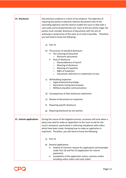| 14. Disclosure           | Documentary evidence is a form of lay evidence. The objective of<br>requiring the parties to disclose relevant documents links to the<br>overriding objective and the need to enable the court to deal with a<br>case justly and at proportionate cost. Even at the pre-action stage, the<br>parties must consider disclosure of documents with the aim of<br>achieving a compromise of the claim at an early if possible. Therefore,<br>you will need to know the following: |
|--------------------------|-------------------------------------------------------------------------------------------------------------------------------------------------------------------------------------------------------------------------------------------------------------------------------------------------------------------------------------------------------------------------------------------------------------------------------------------------------------------------------|
|                          | a) Part 31                                                                                                                                                                                                                                                                                                                                                                                                                                                                    |
|                          | b) The process of standard disclosure:<br>The meaning of document<br><b>Electronic documents</b><br>$\circ$<br>Duty of disclosure<br>Reasonableness of search<br>$\circ$<br>Meaning of disclosure<br>$\circ$<br>Meaning of inspection<br>$\circ$<br>Right of inspection<br>$\circ$<br>Documents referred to in statements of case<br>$\circ$                                                                                                                                  |
|                          | Withholding inspection<br>C)<br>Legal professional privilege<br>$\circ$<br>Documents having dual purpose<br>$\circ$<br>Without prejudice communications<br>$\circ$                                                                                                                                                                                                                                                                                                            |
|                          | d) Consequences of false disclosure statements                                                                                                                                                                                                                                                                                                                                                                                                                                |
|                          | e) Review of documents on inspection                                                                                                                                                                                                                                                                                                                                                                                                                                          |
|                          | f)<br>Requiring specific disclosure                                                                                                                                                                                                                                                                                                                                                                                                                                           |
|                          | Requiring disclosure by non-parties<br>g)                                                                                                                                                                                                                                                                                                                                                                                                                                     |
| 15. Interim applications | During the course of the litigation process, occasions will arise when a<br>party may need to make an application to the court to ask for the<br>court's assistance, particularly in enforcing compliance with orders<br>which have been made. Knowing how to make an application is<br>important. Therefore, you will need to know the following:                                                                                                                            |
|                          | Part 23<br>a)                                                                                                                                                                                                                                                                                                                                                                                                                                                                 |
|                          | b)<br><b>General applications</b><br>Outline of common reasons for applications and examples<br>under Part 18 and Part 25 (application for interim<br>payments)<br>Completion of the application notice: common orders<br>including unless orders and costs orders                                                                                                                                                                                                            |

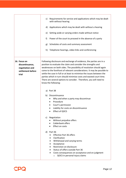|                                                                                  | Requirements for service and applications which may be dealt<br>c)<br>with without hearing<br>Applications which may be dealt with without a hearing<br>d)<br>Setting aside or varying orders made without notice<br>e)<br>f<br>Power of the court to proceed in the absence of a party<br>Schedules of costs and summary assessment<br>g)<br>Telephone hearings, video links and conferencing<br>h)                                                                                                                                               |
|----------------------------------------------------------------------------------|----------------------------------------------------------------------------------------------------------------------------------------------------------------------------------------------------------------------------------------------------------------------------------------------------------------------------------------------------------------------------------------------------------------------------------------------------------------------------------------------------------------------------------------------------|
| 16. Focus on<br>discontinuance,<br>negotiation and<br>settlement before<br>trial | Following disclosure and exchange of evidence, the parties are in a<br>position to evaluate the claim and consider the strengths and<br>weaknesses on both sides. The possibility of resolution should again<br>come to the forefront of relevant considerations. It may be possible to<br>settle the case in full or at least to minimise the issues between the<br>parties which in turn should minimise costs and wasted court time.<br>There are several options to consider. Therefore, you will need to<br>know the following:<br>a) Part 38 |
|                                                                                  | Discontinuance<br>b)<br>Why and when a party may discontinue<br>Procedure<br>Court's permission<br>٠<br>Liability for costs on discontinuance<br>Effect of QOCS                                                                                                                                                                                                                                                                                                                                                                                    |
|                                                                                  | Negotiation<br>C)<br>Without prejudice offers<br>Calderbank offers<br>Effect on costs                                                                                                                                                                                                                                                                                                                                                                                                                                                              |
|                                                                                  | d)<br>Part 36<br><b>Effective Part 36 offers</b><br>Clarification<br>Withdrawal and varying terms<br>Acceptance<br>Restriction on disclosure<br>Status of offers outside Part 36<br>Costs consequences on acceptance and on judgment<br>QOCS in personal injury claims<br>$\circ$                                                                                                                                                                                                                                                                  |

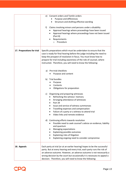|                            | e) Consent orders and Tomlin orders<br>Purpose and differences<br>Structure and drafting effective wording<br>f)<br>Claims involving minors and persons under a disability<br>Approval hearings where proceedings have been issued<br>Approval hearings where proceedings have not been issued<br>(Part 8)<br>Requirements<br>Procedure<br>$\circ$                                                                                                                                                                                                                                                                                                                                                                                                                                                                                                                                                                                                                                                                                                                                      |
|----------------------------|-----------------------------------------------------------------------------------------------------------------------------------------------------------------------------------------------------------------------------------------------------------------------------------------------------------------------------------------------------------------------------------------------------------------------------------------------------------------------------------------------------------------------------------------------------------------------------------------------------------------------------------------------------------------------------------------------------------------------------------------------------------------------------------------------------------------------------------------------------------------------------------------------------------------------------------------------------------------------------------------------------------------------------------------------------------------------------------------|
| 17. Preparations for trial | Specific preparations which must be undertaken to ensure that the<br>case is ready for final hearing before the judge including the need to<br>keep the prospect of resolution in focus. You must know how to<br>prepare for trial including awareness of the role of counsel, where<br>instructed. Therefore, you will need to know the following:<br><b>Pre-trial checklists</b><br>a)<br>Purpose and content<br><b>Trial bundles</b><br>b)<br>Purpose<br>Contents<br>Obligations for preparation<br>Organising and preparing witnesses<br>C)<br>Refreshing the witness' memory<br>٠<br>Arranging attendance of witnesses<br>Part 34<br>Issue and service of witness summonses<br>Travelling expenses and compensation<br>Failure of a party or a witness to attend trial<br>Video links and remote evidence<br>d) Continuing efforts towards resolution<br>Possible need to seek counsel's advice on evidence, liability<br>and quantum<br>Managing expectations<br>Explaining possible outcomes<br>Explaining risks of litigation<br>Explaining ongoing need to consider compromise |
| 18. Appeals                | Each party at trial (or at an earlier hearing) hopes to be the successful<br>party. But at every hearing and every trial, each party runs the risk of<br>an adverse outcome. However, an adverse outcome is not necessarily a<br>wrong decision by the court but occasionally it is necessary to appeal a<br>decision. Therefore, you will need to know the following:                                                                                                                                                                                                                                                                                                                                                                                                                                                                                                                                                                                                                                                                                                                  |